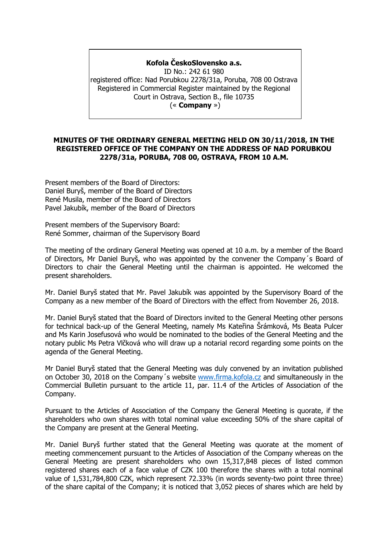## **Kofola ČeskoSlovensko a.s.**

ID No.: 242 61 980 registered office: Nad Porubkou 2278/31a, Poruba, 708 00 Ostrava Registered in Commercial Register maintained by the Regional Court in Ostrava, Section B., file 10735 (« **Company** »)

## **MINUTES OF THE ORDINARY GENERAL MEETING HELD ON 30/11/2018, IN THE REGISTERED OFFICE OF THE COMPANY ON THE ADDRESS OF NAD PORUBKOU 2278/31a, PORUBA, 708 00, OSTRAVA, FROM 10 A.M.**

Present members of the Board of Directors: Daniel Buryš, member of the Board of Directors René Musila, member of the Board of Directors Pavel Jakubík, member of the Board of Directors

Present members of the Supervisory Board: René Sommer, chairman of the Supervisory Board

The meeting of the ordinary General Meeting was opened at 10 a.m. by a member of the Board of Directors, Mr Daniel Buryš, who was appointed by the convener the Company´s Board of Directors to chair the General Meeting until the chairman is appointed. He welcomed the present shareholders.

Mr. Daniel Buryš stated that Mr. Pavel Jakubík was appointed by the Supervisory Board of the Company as a new member of the Board of Directors with the effect from November 26, 2018.

Mr. Daniel Buryš stated that the Board of Directors invited to the General Meeting other persons for technical back-up of the General Meeting, namely Ms Kateřina Šrámková, Ms Beata Pulcer and Ms Karin Josefusová who would be nominated to the bodies of the General Meeting and the notary public Ms Petra Vlčková who will draw up a notarial record regarding some points on the agenda of the General Meeting.

Mr Daniel Buryš stated that the General Meeting was duly convened by an invitation published on October 30, 2018 on the Company's website [www.firma.kofola.cz](http://www.firma.kofola.cz/) and simultaneously in the Commercial Bulletin pursuant to the article 11, par. 11.4 of the Articles of Association of the Company.

Pursuant to the Articles of Association of the Company the General Meeting is quorate, if the shareholders who own shares with total nominal value exceeding 50% of the share capital of the Company are present at the General Meeting.

Mr. Daniel Buryš further stated that the General Meeting was quorate at the moment of meeting commencement pursuant to the Articles of Association of the Company whereas on the General Meeting are present shareholders who own 15,317,848 pieces of listed common registered shares each of a face value of CZK 100 therefore the shares with a total nominal value of 1,531,784,800 CZK, which represent 72.33% (in words seventy-two point three three) of the share capital of the Company; it is noticed that 3,052 pieces of shares which are held by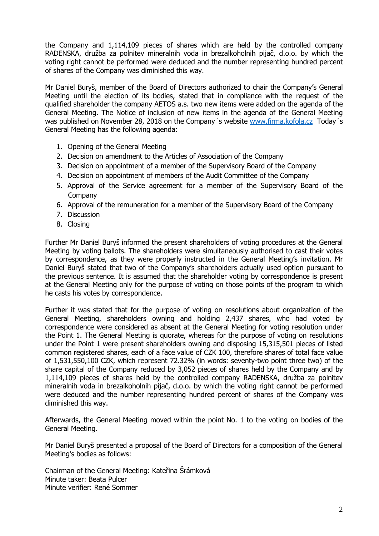the Company and 1,114,109 pieces of shares which are held by the controlled company RADENSKA, družba za polnitev mineralnih voda in brezalkoholnih pijač, d.o.o. by which the voting right cannot be performed were deduced and the number representing hundred percent of shares of the Company was diminished this way.

Mr Daniel Buryš, member of the Board of Directors authorized to chair the Company's General Meeting until the election of its bodies, stated that in compliance with the request of the qualified shareholder the company AETOS a.s. two new items were added on the agenda of the General Meeting. The Notice of inclusion of new items in the agenda of the General Meeting was published on November 28, 2018 on the Company's website [www.firma.kofola.cz](http://www.firma.kofola.cz/) Today's General Meeting has the following agenda:

- 1. Opening of the General Meeting
- 2. Decision on amendment to the Articles of Association of the Company
- 3. Decision on appointment of a member of the Supervisory Board of the Company
- 4. Decision on appointment of members of the Audit Committee of the Company
- 5. Approval of the Service agreement for a member of the Supervisory Board of the Company
- 6. Approval of the remuneration for a member of the Supervisory Board of the Company
- 7. Discussion
- 8. Closing

Further Mr Daniel Buryš informed the present shareholders of voting procedures at the General Meeting by voting ballots. The shareholders were simultaneously authorised to cast their votes by correspondence, as they were properly instructed in the General Meeting's invitation. Mr Daniel Buryš stated that two of the Company's shareholders actually used option pursuant to the previous sentence. It is assumed that the shareholder voting by correspondence is present at the General Meeting only for the purpose of voting on those points of the program to which he casts his votes by correspondence.

Further it was stated that for the purpose of voting on resolutions about organization of the General Meeting, shareholders owning and holding 2,437 shares, who had voted by correspondence were considered as absent at the General Meeting for voting resolution under the Point 1. The General Meeting is quorate, whereas for the purpose of voting on resolutions under the Point 1 were present shareholders owning and disposing 15,315,501 pieces of listed common registered shares, each of a face value of CZK 100, therefore shares of total face value of 1,531,550,100 CZK, which represent 72.32% (in words: seventy-two point three two) of the share capital of the Company reduced by 3,052 pieces of shares held by the Company and by 1,114,109 pieces of shares held by the controlled company RADENSKA, družba za polnitev mineralnih voda in brezalkoholnih pijač, d.o.o. by which the voting right cannot be performed were deduced and the number representing hundred percent of shares of the Company was diminished this way.

Afterwards, the General Meeting moved within the point No. 1 to the voting on bodies of the General Meeting.

Mr Daniel Buryš presented a proposal of the Board of Directors for a composition of the General Meeting's bodies as follows:

Chairman of the General Meeting: Kateřina Šrámková Minute taker: Beata Pulcer Minute verifier: René Sommer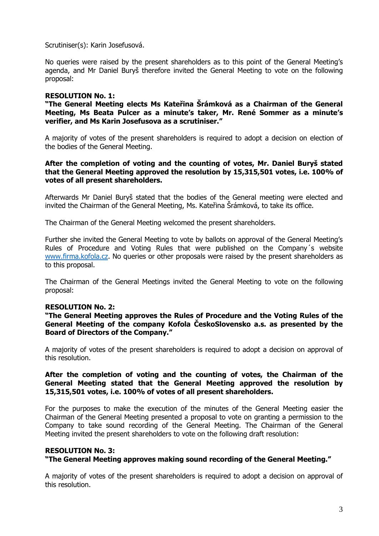Scrutiniser(s): Karin Josefusová.

No queries were raised by the present shareholders as to this point of the General Meeting's agenda, and Mr Daniel Buryš therefore invited the General Meeting to vote on the following proposal:

## **RESOLUTION No. 1:**

**"The General Meeting elects Ms Kateřina Šrámková as a Chairman of the General Meeting, Ms Beata Pulcer as a minute's taker, Mr. René Sommer as a minute's verifier, and Ms Karin Josefusova as a scrutiniser."**

A majority of votes of the present shareholders is required to adopt a decision on election of the bodies of the General Meeting.

## **After the completion of voting and the counting of votes, Mr. Daniel Buryš stated that the General Meeting approved the resolution by 15,315,501 votes, i.e. 100% of votes of all present shareholders.**

Afterwards Mr Daniel Buryš stated that the bodies of the General meeting were elected and invited the Chairman of the General Meeting, Ms. Kateřina Šrámková, to take its office.

The Chairman of the General Meeting welcomed the present shareholders.

Further she invited the General Meeting to vote by ballots on approval of the General Meeting's Rules of Procedure and Voting Rules that were published on the Company´s website [www.firma.kofola.cz.](http://www.firma.kofola.cz/) No queries or other proposals were raised by the present shareholders as to this proposal.

The Chairman of the General Meetings invited the General Meeting to vote on the following proposal:

#### **RESOLUTION No. 2:**

**"The General Meeting approves the Rules of Procedure and the Voting Rules of the General Meeting of the company Kofola ČeskoSlovensko a.s. as presented by the Board of Directors of the Company."**

A majority of votes of the present shareholders is required to adopt a decision on approval of this resolution.

## **After the completion of voting and the counting of votes, the Chairman of the General Meeting stated that the General Meeting approved the resolution by 15,315,501 votes, i.e. 100% of votes of all present shareholders.**

For the purposes to make the execution of the minutes of the General Meeting easier the Chairman of the General Meeting presented a proposal to vote on granting a permission to the Company to take sound recording of the General Meeting. The Chairman of the General Meeting invited the present shareholders to vote on the following draft resolution:

## **RESOLUTION No. 3:**

# **"The General Meeting approves making sound recording of the General Meeting."**

A majority of votes of the present shareholders is required to adopt a decision on approval of this resolution.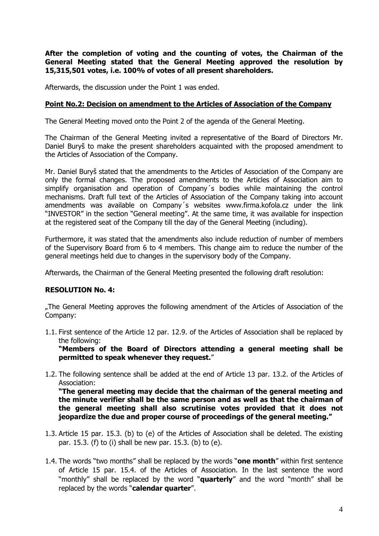**After the completion of voting and the counting of votes, the Chairman of the General Meeting stated that the General Meeting approved the resolution by 15,315,501 votes, i.e. 100% of votes of all present shareholders.** 

Afterwards, the discussion under the Point 1 was ended.

## **Point No.2: Decision on amendment to the Articles of Association of the Company**

The General Meeting moved onto the Point 2 of the agenda of the General Meeting.

The Chairman of the General Meeting invited a representative of the Board of Directors Mr. Daniel Buryš to make the present shareholders acquainted with the proposed amendment to the Articles of Association of the Company.

Mr. Daniel Buryš stated that the amendments to the Articles of Association of the Company are only the formal changes. The proposed amendments to the Articles of Association aim to simplify organisation and operation of Company´s bodies while maintaining the control mechanisms. Draft full text of the Articles of Association of the Company taking into account amendments was available on Company´s websites www.firma.kofola.cz under the link "INVESTOR" in the section "General meeting". At the same time, it was available for inspection at the registered seat of the Company till the day of the General Meeting (including).

Furthermore, it was stated that the amendments also include reduction of number of members of the Supervisory Board from 6 to 4 members. This change aim to reduce the number of the general meetings held due to changes in the supervisory body of the Company.

Afterwards, the Chairman of the General Meeting presented the following draft resolution:

# **RESOLUTION No. 4:**

"The General Meeting approves the following amendment of the Articles of Association of the Company:

1.1. First sentence of the Article 12 par. 12.9. of the Articles of Association shall be replaced by the following:

**"Members of the Board of Directors attending a general meeting shall be permitted to speak whenever they request.**"

1.2. The following sentence shall be added at the end of Article 13 par. 13.2. of the Articles of Association:

**"The general meeting may decide that the chairman of the general meeting and the minute verifier shall be the same person and as well as that the chairman of the general meeting shall also scrutinise votes provided that it does not jeopardize the due and proper course of proceedings of the general meeting."**

- 1.3. Article 15 par. 15.3. (b) to (e) of the Articles of Association shall be deleted. The existing par. 15.3. (f) to (i) shall be new par. 15.3. (b) to (e).
- 1.4. The words "two months" shall be replaced by the words "**one month**" within first sentence of Article 15 par. 15.4. of the Articles of Association. In the last sentence the word "monthly" shall be replaced by the word "**quarterly**" and the word "month" shall be replaced by the words "**calendar quarter**".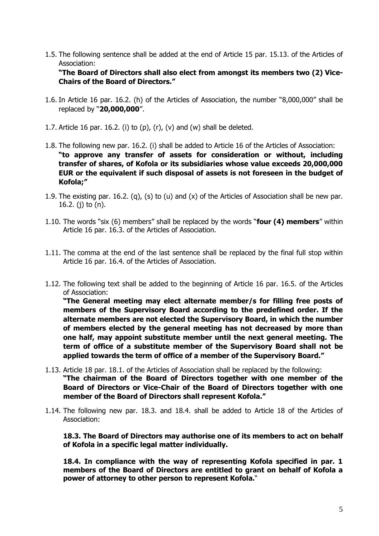1.5. The following sentence shall be added at the end of Article 15 par. 15.13. of the Articles of Association:

**"The Board of Directors shall also elect from amongst its members two (2) Vice-Chairs of the Board of Directors."**

- 1.6. In Article 16 par. 16.2. (h) of the Articles of Association, the number "8,000,000" shall be replaced by "**20,000,000**".
- 1.7. Article 16 par. 16.2. (i) to  $(p)$ ,  $(r)$ ,  $(v)$  and  $(w)$  shall be deleted.
- 1.8. The following new par. 16.2. (i) shall be added to Article 16 of the Articles of Association: **"to approve any transfer of assets for consideration or without, including transfer of shares, of Kofola or its subsidiaries whose value exceeds 20,000,000 EUR or the equivalent if such disposal of assets is not foreseen in the budget of Kofola;"**
- 1.9. The existing par. 16.2. (q), (s) to (u) and (x) of the Articles of Association shall be new par. 16.2. (j) to (n).
- 1.10. The words "six (6) members" shall be replaced by the words "**four (4) members**" within Article 16 par. 16.3. of the Articles of Association.
- 1.11. The comma at the end of the last sentence shall be replaced by the final full stop within Article 16 par. 16.4. of the Articles of Association.
- 1.12. The following text shall be added to the beginning of Article 16 par. 16.5. of the Articles of Association:

**"The General meeting may elect alternate member/s for filling free posts of members of the Supervisory Board according to the predefined order. If the alternate members are not elected the Supervisory Board, in which the number of members elected by the general meeting has not decreased by more than one half, may appoint substitute member until the next general meeting. The term of office of a substitute member of the Supervisory Board shall not be applied towards the term of office of a member of the Supervisory Board."**

- 1.13. Article 18 par. 18.1. of the Articles of Association shall be replaced by the following: **"The chairman of the Board of Directors together with one member of the Board of Directors or Vice-Chair of the Board of Directors together with one member of the Board of Directors shall represent Kofola."**
- 1.14. The following new par. 18.3. and 18.4. shall be added to Article 18 of the Articles of Association:

**18.3. The Board of Directors may authorise one of its members to act on behalf of Kofola in a specific legal matter individually.** 

**18.4. In compliance with the way of representing Kofola specified in par. 1 members of the Board of Directors are entitled to grant on behalf of Kofola a power of attorney to other person to represent Kofola.**"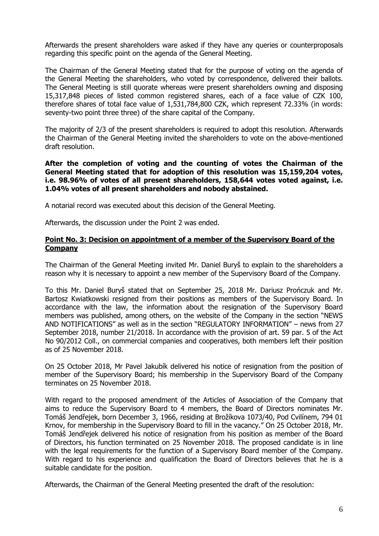Afterwards the present shareholders ware asked if they have any queries or counterproposals regarding this specific point on the agenda of the General Meeting.

The Chairman of the General Meeting stated that for the purpose of voting on the agenda of the General Meeting the shareholders, who voted by correspondence, delivered their ballots. The General Meeting is still quorate whereas were present shareholders owning and disposing 15,317,848 pieces of listed common registered shares, each of a face value of CZK 100, therefore shares of total face value of 1,531,784,800 CZK, which represent 72.33% (in words: seventy-two point three three) of the share capital of the Company.

The majority of 2/3 of the present shareholders is required to adopt this resolution. Afterwards the Chairman of the General Meeting invited the shareholders to vote on the above-mentioned draft resolution.

**After the completion of voting and the counting of votes the Chairman of the General Meeting stated that for adoption of this resolution was 15,159,204 votes, i.e. 98.96% of votes of all present shareholders, 158,644 votes voted against, i.e. 1.04% votes of all present shareholders and nobody abstained.** 

A notarial record was executed about this decision of the General Meeting.

Afterwards, the discussion under the Point 2 was ended.

## **Point No. 3: Decision on appointment of a member of the Supervisory Board of the Company**

The Chairman of the General Meeting invited Mr. Daniel Buryš to explain to the shareholders a reason why it is necessary to appoint a new member of the Supervisory Board of the Company.

To this Mr. Daniel Buryš stated that on September 25, 2018 Mr. Dariusz Prończuk and Mr. Bartosz Kwiatkowski resigned from their positions as members of the Supervisory Board. In accordance with the law, the information about the resignation of the Supervisory Board members was published, among others, on the website of the Company in the section "NEWS AND NOTIFICATIONS" as well as in the section "REGULATORY INFORMATION" – news from 27 September 2018, number 21/2018. In accordance with the provision of art. 59 par. 5 of the Act No 90/2012 Coll., on commercial companies and cooperatives, both members left their position as of 25 November 2018.

On 25 October 2018, Mr Pavel Jakubík delivered his notice of resignation from the position of member of the Supervisory Board; his membership in the Supervisory Board of the Company terminates on 25 November 2018.

With regard to the proposed amendment of the Articles of Association of the Company that aims to reduce the Supervisory Board to 4 members, the Board of Directors nominates Mr. Tomáš Jendřejek, born December 3, 1966, residing at Brožíkova 1073/40, Pod Cvilínem, 794 01 Krnov, for membership in the Supervisory Board to fill in the vacancy." On 25 October 2018, Mr. Tomáš Jendřejek delivered his notice of resignation from his position as member of the Board of Directors, his function terminated on 25 November 2018. The proposed candidate is in line with the legal requirements for the function of a Supervisory Board member of the Company. With regard to his experience and qualification the Board of Directors believes that he is a suitable candidate for the position.

Afterwards, the Chairman of the General Meeting presented the draft of the resolution: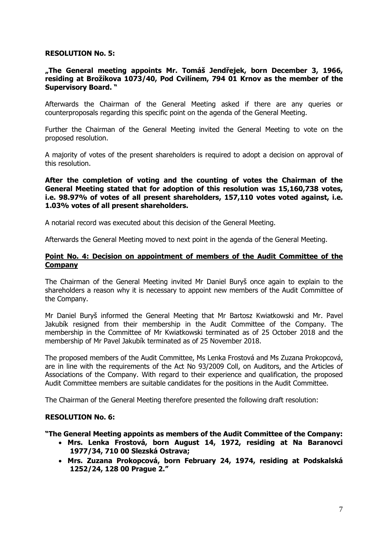#### **RESOLUTION No. 5:**

## **"The General meeting appoints Mr. Tomáš Jendřejek, born December 3, 1966, residing at Brožíkova 1073/40, Pod Cvilínem, 794 01 Krnov as the member of the Supervisory Board. "**

Afterwards the Chairman of the General Meeting asked if there are any queries or counterproposals regarding this specific point on the agenda of the General Meeting.

Further the Chairman of the General Meeting invited the General Meeting to vote on the proposed resolution.

A majority of votes of the present shareholders is required to adopt a decision on approval of this resolution.

**After the completion of voting and the counting of votes the Chairman of the General Meeting stated that for adoption of this resolution was 15,160,738 votes, i.e. 98.97% of votes of all present shareholders, 157,110 votes voted against, i.e. 1.03% votes of all present shareholders.** 

A notarial record was executed about this decision of the General Meeting.

Afterwards the General Meeting moved to next point in the agenda of the General Meeting.

#### **Point No. 4: Decision on appointment of members of the Audit Committee of the Company**

The Chairman of the General Meeting invited Mr Daniel Buryš once again to explain to the shareholders a reason why it is necessary to appoint new members of the Audit Committee of the Company.

Mr Daniel Buryš informed the General Meeting that Mr Bartosz Kwiatkowski and Mr. Pavel Jakubík resigned from their membership in the Audit Committee of the Company. The membership in the Committee of Mr Kwiatkowski terminated as of 25 October 2018 and the membership of Mr Pavel Jakubík terminated as of 25 November 2018.

The proposed members of the Audit Committee, Ms Lenka Frostová and Ms Zuzana Prokopcová, are in line with the requirements of the Act No 93/2009 Coll, on Auditors, and the Articles of Associations of the Company. With regard to their experience and qualification, the proposed Audit Committee members are suitable candidates for the positions in the Audit Committee.

The Chairman of the General Meeting therefore presented the following draft resolution:

#### **RESOLUTION No. 6:**

**"The General Meeting appoints as members of the Audit Committee of the Company:** 

- **Mrs. Lenka Frostová, born August 14, 1972, residing at Na Baranovci 1977/34, 710 00 Slezská Ostrava;**
- **Mrs. Zuzana Prokopcová, born February 24, 1974, residing at Podskalská 1252/24, 128 00 Prague 2."**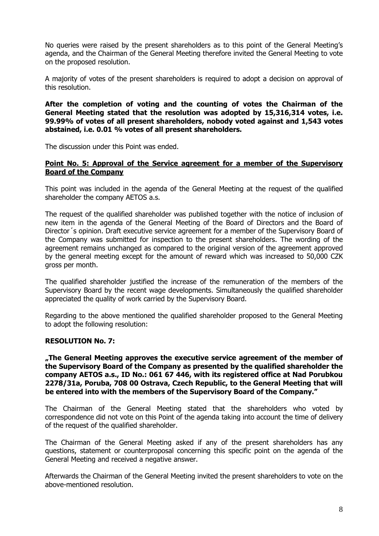No queries were raised by the present shareholders as to this point of the General Meeting's agenda, and the Chairman of the General Meeting therefore invited the General Meeting to vote on the proposed resolution.

A majority of votes of the present shareholders is required to adopt a decision on approval of this resolution.

**After the completion of voting and the counting of votes the Chairman of the General Meeting stated that the resolution was adopted by 15,316,314 votes, i.e. 99.99% of votes of all present shareholders, nobody voted against and 1,543 votes abstained, i.e. 0.01 % votes of all present shareholders.** 

The discussion under this Point was ended.

## **Point No. 5: Approval of the Service agreement for a member of the Supervisory Board of the Company**

This point was included in the agenda of the General Meeting at the request of the qualified shareholder the company AETOS a.s.

The request of the qualified shareholder was published together with the notice of inclusion of new item in the agenda of the General Meeting of the Board of Directors and the Board of Director´s opinion. Draft executive service agreement for a member of the Supervisory Board of the Company was submitted for inspection to the present shareholders. The wording of the agreement remains unchanged as compared to the original version of the agreement approved by the general meeting except for the amount of reward which was increased to 50,000 CZK gross per month.

The qualified shareholder justified the increase of the remuneration of the members of the Supervisory Board by the recent wage developments. Simultaneously the qualified shareholder appreciated the quality of work carried by the Supervisory Board.

Regarding to the above mentioned the qualified shareholder proposed to the General Meeting to adopt the following resolution:

# **RESOLUTION No. 7:**

**"The General Meeting approves the executive service agreement of the member of the Supervisory Board of the Company as presented by the qualified shareholder the company AETOS a.s., ID No.: 061 67 446, with its registered office at Nad Porubkou 2278/31a, Poruba, 708 00 Ostrava, Czech Republic, to the General Meeting that will be entered into with the members of the Supervisory Board of the Company."**

The Chairman of the General Meeting stated that the shareholders who voted by correspondence did not vote on this Point of the agenda taking into account the time of delivery of the request of the qualified shareholder.

The Chairman of the General Meeting asked if any of the present shareholders has any questions, statement or counterproposal concerning this specific point on the agenda of the General Meeting and received a negative answer.

Afterwards the Chairman of the General Meeting invited the present shareholders to vote on the above-mentioned resolution.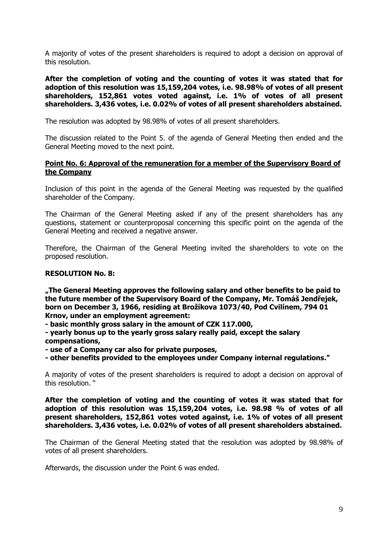A majority of votes of the present shareholders is required to adopt a decision on approval of this resolution.

**After the completion of voting and the counting of votes it was stated that for adoption of this resolution was 15,159,204 votes, i.e. 98.98% of votes of all present shareholders, 152,861 votes voted against, i.e. 1% of votes of all present shareholders. 3,436 votes, i.e. 0.02% of votes of all present shareholders abstained.** 

The resolution was adopted by 98.98% of votes of all present shareholders.

The discussion related to the Point 5. of the agenda of General Meeting then ended and the General Meeting moved to the next point.

## **Point No. 6: Approval of the remuneration for a member of the Supervisory Board of the Company**

Inclusion of this point in the agenda of the General Meeting was requested by the qualified shareholder of the Company.

The Chairman of the General Meeting asked if any of the present shareholders has any questions, statement or counterproposal concerning this specific point on the agenda of the General Meeting and received a negative answer.

Therefore, the Chairman of the General Meeting invited the shareholders to vote on the proposed resolution.

#### **RESOLUTION No. 8:**

**"The General Meeting approves the following salary and other benefits to be paid to the future member of the Supervisory Board of the Company, Mr. Tomáš Jendřejek, born on December 3, 1966, residing at Brožíkova 1073/40, Pod Cvilínem, 794 01 Krnov, under an employment agreement:** 

**- basic monthly gross salary in the amount of CZK 117.000,** 

**- yearly bonus up to the yearly gross salary really paid, except the salary compensations,** 

**- use of a Company car also for private purposes,** 

**- other benefits provided to the employees under Company internal regulations."** 

A majority of votes of the present shareholders is required to adopt a decision on approval of this resolution. "

**After the completion of voting and the counting of votes it was stated that for adoption of this resolution was 15,159,204 votes, i.e. 98.98 % of votes of all present shareholders, 152,861 votes voted against, i.e. 1% of votes of all present shareholders. 3,436 votes, i.e. 0.02% of votes of all present shareholders abstained.** 

The Chairman of the General Meeting stated that the resolution was adopted by 98.98% of votes of all present shareholders.

Afterwards, the discussion under the Point 6 was ended.